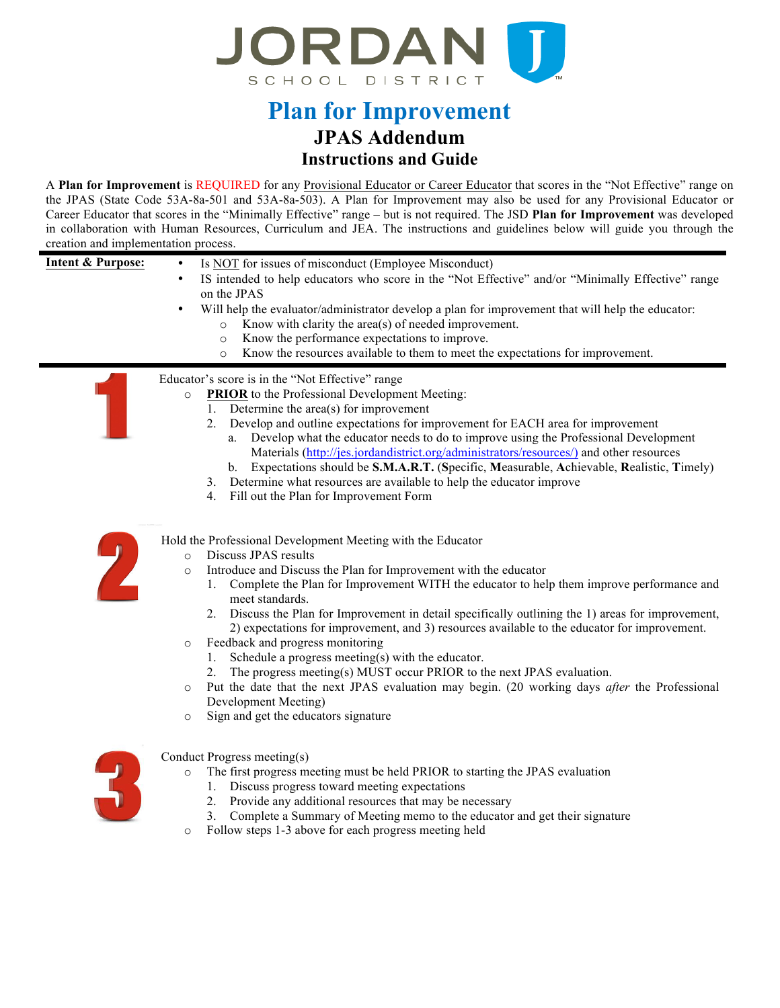

# **JPAS Addendum Plan for Improvement Instructions and Guide**

 A **Plan for Improvement** is REQUIRED for any Provisional Educator or Career Educator that scores in the "Not Effective" range on the JPAS (State Code 53A-8a-501 and 53A-8a-503). A Plan for Improvement may also be used for any Provisional Educator or Career Educator that scores in the "Minimally Effective" range – but is not required. The JSD **Plan for Improvement** was developed in collaboration with Human Resources, Curriculum and JEA. The instructions and guidelines below will guide you through the creation and implementation process.

| <b>Intent &amp; Purpose:</b> | Is NOT for issues of misconduct (Employee Misconduct)<br>٠<br>IS intended to help educators who score in the "Not Effective" and/or "Minimally Effective" range<br>$\bullet$<br>on the JPAS<br>Will help the evaluator/administrator develop a plan for improvement that will help the educator:<br>٠<br>Know with clarity the area(s) of needed improvement.<br>$\circ$<br>Know the performance expectations to improve.<br>$\circ$<br>Know the resources available to them to meet the expectations for improvement.<br>$\circ$                                                                                                                                                                                                                                                                                                                                                               |
|------------------------------|-------------------------------------------------------------------------------------------------------------------------------------------------------------------------------------------------------------------------------------------------------------------------------------------------------------------------------------------------------------------------------------------------------------------------------------------------------------------------------------------------------------------------------------------------------------------------------------------------------------------------------------------------------------------------------------------------------------------------------------------------------------------------------------------------------------------------------------------------------------------------------------------------|
|                              | Educator's score is in the "Not Effective" range<br><b>PRIOR</b> to the Professional Development Meeting:<br>$\circ$<br>1. Determine the $area(s)$ for improvement<br>2. Develop and outline expectations for improvement for EACH area for improvement<br>Develop what the educator needs to do to improve using the Professional Development<br>a.<br>Materials (http://jes.jordandistrict.org/administrators/resources/) and other resources<br>b. Expectations should be S.M.A.R.T. (Specific, Measurable, Achievable, Realistic, Timely)<br>Determine what resources are available to help the educator improve<br>3.<br>Fill out the Plan for Improvement Form<br>4.                                                                                                                                                                                                                      |
|                              | Hold the Professional Development Meeting with the Educator<br>Discuss JPAS results<br>$\circ$<br>Introduce and Discuss the Plan for Improvement with the educator<br>$\circ$<br>1. Complete the Plan for Improvement WITH the educator to help them improve performance and<br>meet standards.<br>Discuss the Plan for Improvement in detail specifically outlining the 1) areas for improvement,<br>2.<br>2) expectations for improvement, and 3) resources available to the educator for improvement.<br>Feedback and progress monitoring<br>$\circ$<br>Schedule a progress meeting(s) with the educator.<br>1.<br>The progress meeting(s) MUST occur PRIOR to the next JPAS evaluation.<br>2.<br>Put the date that the next JPAS evaluation may begin. (20 working days <i>after</i> the Professional<br>$\circ$<br>Development Meeting)<br>Sign and get the educators signature<br>$\circ$ |
|                              | Conduct Progress meeting(s)<br>The first progress meeting must be held PRIOR to starting the JPAS evaluation<br>$\circ$<br>Discuss progress toward meeting expectations<br>1.<br>2.<br>Provide any additional resources that may be necessary<br>3. Complete a Summary of Meeting memo to the educator and get their signature<br>Follow steps 1-3 above for each progress meeting held<br>$\circ$                                                                                                                                                                                                                                                                                                                                                                                                                                                                                              |